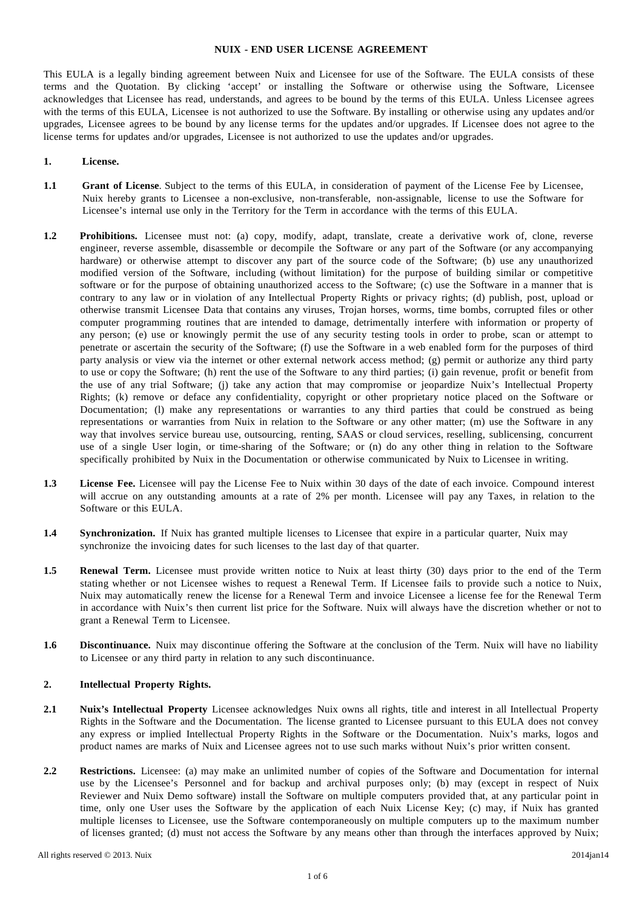#### **NUIX - END USER LICENSE AGREEMENT**

This EULA is a legally binding agreement between Nuix and Licensee for use of the Software. The EULA consists of these terms and the Quotation. By clicking 'accept' or installing the Software or otherwise using the Software, Licensee acknowledges that Licensee has read, understands, and agrees to be bound by the terms of this EULA. Unless Licensee agrees with the terms of this EULA, Licensee is not authorized to use the Software. By installing or otherwise using any updates and/or upgrades, Licensee agrees to be bound by any license terms for the updates and/or upgrades. If Licensee does not agree to the license terms for updates and/or upgrades, Licensee is not authorized to use the updates and/or upgrades.

#### **1. License.**

- **1.1 Grant of License**. Subject to the terms of this EULA, in consideration of payment of the License Fee by Licensee, Nuix hereby grants to Licensee a non-exclusive, non-transferable, non-assignable, license to use the Software for Licensee's internal use only in the Territory for the Term in accordance with the terms of this EULA.
- **1.2 Prohibitions.** Licensee must not: (a) copy, modify, adapt, translate, create a derivative work of, clone, reverse engineer, reverse assemble, disassemble or decompile the Software or any part of the Software (or any accompanying hardware) or otherwise attempt to discover any part of the source code of the Software; (b) use any unauthorized modified version of the Software, including (without limitation) for the purpose of building similar or competitive software or for the purpose of obtaining unauthorized access to the Software; (c) use the Software in a manner that is contrary to any law or in violation of any Intellectual Property Rights or privacy rights; (d) publish, post, upload or otherwise transmit Licensee Data that contains any viruses, Trojan horses, worms, time bombs, corrupted files or other computer programming routines that are intended to damage, detrimentally interfere with information or property of any person; (e) use or knowingly permit the use of any security testing tools in order to probe, scan or attempt to penetrate or ascertain the security of the Software; (f) use the Software in a web enabled form for the purposes of third party analysis or view via the internet or other external network access method; (g) permit or authorize any third party to use or copy the Software; (h) rent the use of the Software to any third parties; (i) gain revenue, profit or benefit from the use of any trial Software; (j) take any action that may compromise or jeopardize Nuix's Intellectual Property Rights; (k) remove or deface any confidentiality, copyright or other proprietary notice placed on the Software or Documentation; (l) make any representations or warranties to any third parties that could be construed as being representations or warranties from Nuix in relation to the Software or any other matter; (m) use the Software in any way that involves service bureau use, outsourcing, renting, SAAS or cloud services, reselling, sublicensing, concurrent use of a single User login, or time-sharing of the Software; or (n) do any other thing in relation to the Software specifically prohibited by Nuix in the Documentation or otherwise communicated by Nuix to Licensee in writing.
- **1.3 License Fee.** Licensee will pay the License Fee to Nuix within 30 days of the date of each invoice. Compound interest will accrue on any outstanding amounts at a rate of 2% per month. Licensee will pay any Taxes, in relation to the Software or this EULA.
- **1.4 Synchronization.** If Nuix has granted multiple licenses to Licensee that expire in a particular quarter, Nuix may synchronize the invoicing dates for such licenses to the last day of that quarter.
- **1.5 Renewal Term.** Licensee must provide written notice to Nuix at least thirty (30) days prior to the end of the Term stating whether or not Licensee wishes to request a Renewal Term. If Licensee fails to provide such a notice to Nuix, Nuix may automatically renew the license for a Renewal Term and invoice Licensee a license fee for the Renewal Term in accordance with Nuix's then current list price for the Software. Nuix will always have the discretion whether or not to grant a Renewal Term to Licensee.
- **1.6 Discontinuance.** Nuix may discontinue offering the Software at the conclusion of the Term. Nuix will have no liability to Licensee or any third party in relation to any such discontinuance.

#### **2. Intellectual Property Rights.**

- **2.1 Nuix's Intellectual Property** Licensee acknowledges Nuix owns all rights, title and interest in all Intellectual Property Rights in the Software and the Documentation. The license granted to Licensee pursuant to this EULA does not convey any express or implied Intellectual Property Rights in the Software or the Documentation. Nuix's marks, logos and product names are marks of Nuix and Licensee agrees not to use such marks without Nuix's prior written consent.
- **2.2 Restrictions.** Licensee: (a) may make an unlimited number of copies of the Software and Documentation for internal use by the Licensee's Personnel and for backup and archival purposes only; (b) may (except in respect of Nuix Reviewer and Nuix Demo software) install the Software on multiple computers provided that, at any particular point in time, only one User uses the Software by the application of each Nuix License Key; (c) may, if Nuix has granted multiple licenses to Licensee, use the Software contemporaneously on multiple computers up to the maximum number of licenses granted; (d) must not access the Software by any means other than through the interfaces approved by Nuix;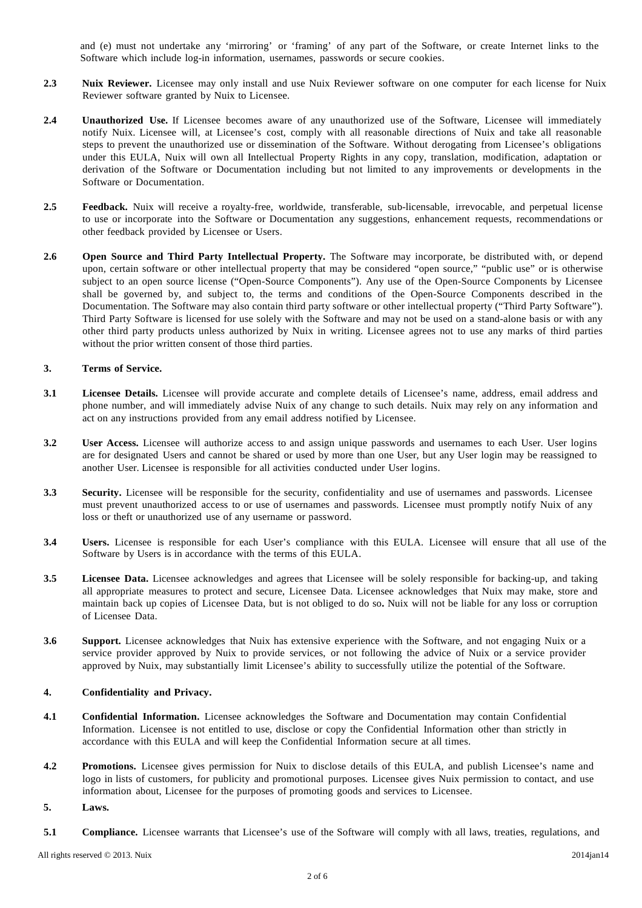and (e) must not undertake any 'mirroring' or 'framing' of any part of the Software, or create Internet links to the Software which include log-in information, usernames, passwords or secure cookies.

- **2.3 Nuix Reviewer.** Licensee may only install and use Nuix Reviewer software on one computer for each license for Nuix Reviewer software granted by Nuix to Licensee.
- **2.4 Unauthorized Use.** If Licensee becomes aware of any unauthorized use of the Software, Licensee will immediately notify Nuix. Licensee will, at Licensee's cost, comply with all reasonable directions of Nuix and take all reasonable steps to prevent the unauthorized use or dissemination of the Software. Without derogating from Licensee's obligations under this EULA, Nuix will own all Intellectual Property Rights in any copy, translation, modification, adaptation or derivation of the Software or Documentation including but not limited to any improvements or developments in the Software or Documentation.
- **2.5 Feedback.** Nuix will receive a royalty-free, worldwide, transferable, sub-licensable, irrevocable, and perpetual license to use or incorporate into the Software or Documentation any suggestions, enhancement requests, recommendations or other feedback provided by Licensee or Users.
- **2.6 Open Source and Third Party Intellectual Property.** The Software may incorporate, be distributed with, or depend upon, certain software or other intellectual property that may be considered "open source," "public use" or is otherwise subject to an open source license ("Open-Source Components"). Any use of the Open-Source Components by Licensee shall be governed by, and subject to, the terms and conditions of the Open-Source Components described in the Documentation. The Software may also contain third party software or other intellectual property ("Third Party Software"). Third Party Software is licensed for use solely with the Software and may not be used on a stand-alone basis or with any other third party products unless authorized by Nuix in writing. Licensee agrees not to use any marks of third parties without the prior written consent of those third parties.

# **3. Terms of Service.**

- **3.1 Licensee Details.** Licensee will provide accurate and complete details of Licensee's name, address, email address and phone number, and will immediately advise Nuix of any change to such details. Nuix may rely on any information and act on any instructions provided from any email address notified by Licensee.
- **3.2 User Access.** Licensee will authorize access to and assign unique passwords and usernames to each User. User logins are for designated Users and cannot be shared or used by more than one User, but any User login may be reassigned to another User. Licensee is responsible for all activities conducted under User logins.
- **3.3 Security.** Licensee will be responsible for the security, confidentiality and use of usernames and passwords. Licensee must prevent unauthorized access to or use of usernames and passwords. Licensee must promptly notify Nuix of any loss or theft or unauthorized use of any username or password.
- **3.4 Users.** Licensee is responsible for each User's compliance with this EULA. Licensee will ensure that all use of the Software by Users is in accordance with the terms of this EULA.
- **3.5 Licensee Data.** Licensee acknowledges and agrees that Licensee will be solely responsible for backing-up, and taking all appropriate measures to protect and secure, Licensee Data. Licensee acknowledges that Nuix may make, store and maintain back up copies of Licensee Data, but is not obliged to do so**.** Nuix will not be liable for any loss or corruption of Licensee Data.
- **3.6 Support.** Licensee acknowledges that Nuix has extensive experience with the Software, and not engaging Nuix or a service provider approved by Nuix to provide services, or not following the advice of Nuix or a service provider approved by Nuix, may substantially limit Licensee's ability to successfully utilize the potential of the Software.

#### **4. Confidentiality and Privacy.**

- **4.1 Confidential Information.** Licensee acknowledges the Software and Documentation may contain Confidential Information. Licensee is not entitled to use, disclose or copy the Confidential Information other than strictly in accordance with this EULA and will keep the Confidential Information secure at all times.
- **4.2 Promotions.** Licensee gives permission for Nuix to disclose details of this EULA, and publish Licensee's name and logo in lists of customers, for publicity and promotional purposes. Licensee gives Nuix permission to contact, and use information about, Licensee for the purposes of promoting goods and services to Licensee.
- **5. Laws.**
- **5.1 Compliance.** Licensee warrants that Licensee's use of the Software will comply with all laws, treaties, regulations, and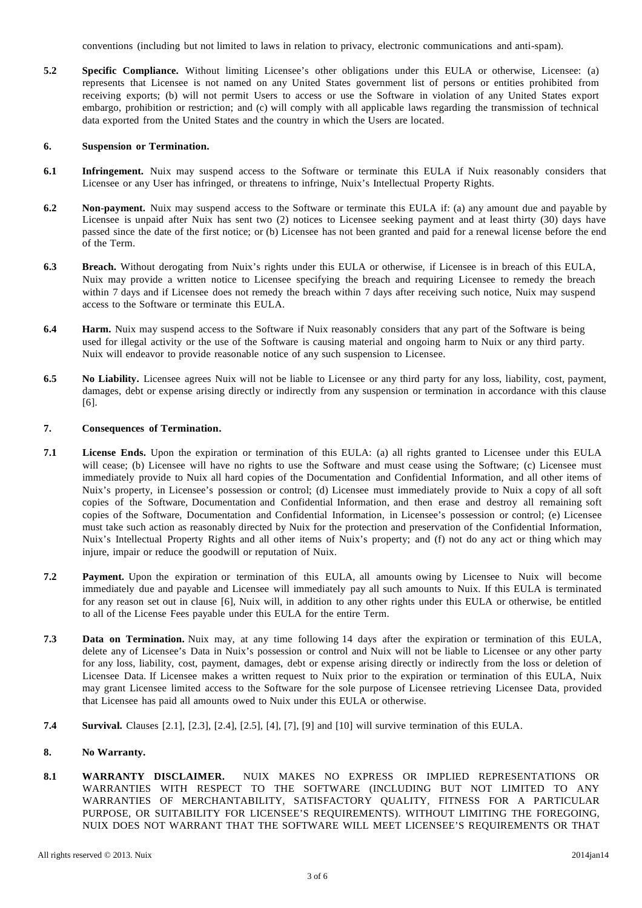conventions (including but not limited to laws in relation to privacy, electronic communications and anti-spam).

**5.2 Specific Compliance.** Without limiting Licensee's other obligations under this EULA or otherwise, Licensee: (a) represents that Licensee is not named on any United States government list of persons or entities prohibited from receiving exports; (b) will not permit Users to access or use the Software in violation of any United States export embargo, prohibition or restriction; and (c) will comply with all applicable laws regarding the transmission of technical data exported from the United States and the country in which the Users are located.

#### **6. Suspension or Termination.**

- **6.1 Infringement.** Nuix may suspend access to the Software or terminate this EULA if Nuix reasonably considers that Licensee or any User has infringed, or threatens to infringe, Nuix's Intellectual Property Rights.
- **6.2 Non-payment.** Nuix may suspend access to the Software or terminate this EULA if: (a) any amount due and payable by Licensee is unpaid after Nuix has sent two (2) notices to Licensee seeking payment and at least thirty (30) days have passed since the date of the first notice; or (b) Licensee has not been granted and paid for a renewal license before the end of the Term.
- **6.3 Breach.** Without derogating from Nuix's rights under this EULA or otherwise, if Licensee is in breach of this EULA, Nuix may provide a written notice to Licensee specifying the breach and requiring Licensee to remedy the breach within 7 days and if Licensee does not remedy the breach within 7 days after receiving such notice, Nuix may suspend access to the Software or terminate this EULA.
- **6.4 Harm.** Nuix may suspend access to the Software if Nuix reasonably considers that any part of the Software is being used for illegal activity or the use of the Software is causing material and ongoing harm to Nuix or any third party. Nuix will endeavor to provide reasonable notice of any such suspension to Licensee.
- **6.5 No Liability.** Licensee agrees Nuix will not be liable to Licensee or any third party for any loss, liability, cost, payment, damages, debt or expense arising directly or indirectly from any suspension or termination in accordance with this clause [6].

# **7. Consequences of Termination.**

- **7.1 License Ends.** Upon the expiration or termination of this EULA: (a) all rights granted to Licensee under this EULA will cease; (b) Licensee will have no rights to use the Software and must cease using the Software; (c) Licensee must immediately provide to Nuix all hard copies of the Documentation and Confidential Information, and all other items of Nuix's property, in Licensee's possession or control; (d) Licensee must immediately provide to Nuix a copy of all soft copies of the Software, Documentation and Confidential Information, and then erase and destroy all remaining soft copies of the Software, Documentation and Confidential Information, in Licensee's possession or control; (e) Licensee must take such action as reasonably directed by Nuix for the protection and preservation of the Confidential Information, Nuix's Intellectual Property Rights and all other items of Nuix's property; and (f) not do any act or thing which may injure, impair or reduce the goodwill or reputation of Nuix.
- **7.2 Payment.** Upon the expiration or termination of this EULA, all amounts owing by Licensee to Nuix will become immediately due and payable and Licensee will immediately pay all such amounts to Nuix. If this EULA is terminated for any reason set out in clause [6], Nuix will, in addition to any other rights under this EULA or otherwise, be entitled to all of the License Fees payable under this EULA for the entire Term.
- **7.3 Data on Termination.** Nuix may, at any time following 14 days after the expiration or termination of this EULA, delete any of Licensee's Data in Nuix's possession or control and Nuix will not be liable to Licensee or any other party for any loss, liability, cost, payment, damages, debt or expense arising directly or indirectly from the loss or deletion of Licensee Data. If Licensee makes a written request to Nuix prior to the expiration or termination of this EULA, Nuix may grant Licensee limited access to the Software for the sole purpose of Licensee retrieving Licensee Data, provided that Licensee has paid all amounts owed to Nuix under this EULA or otherwise.
- **7.4 Survival.** Clauses [2.1], [2.3], [2.4], [2.5], [4], [7], [9] and [10] will survive termination of this EULA.

# **8. No Warranty.**

**8.1 WARRANTY DISCLAIMER.** NUIX MAKES NO EXPRESS OR IMPLIED REPRESENTATIONS OR WARRANTIES WITH RESPECT TO THE SOFTWARE (INCLUDING BUT NOT LIMITED TO ANY WARRANTIES OF MERCHANTABILITY, SATISFACTORY QUALITY, FITNESS FOR A PARTICULAR PURPOSE, OR SUITABILITY FOR LICENSEE'S REQUIREMENTS). WITHOUT LIMITING THE FOREGOING, NUIX DOES NOT WARRANT THAT THE SOFTWARE WILL MEET LICENSEE'S REQUIREMENTS OR THAT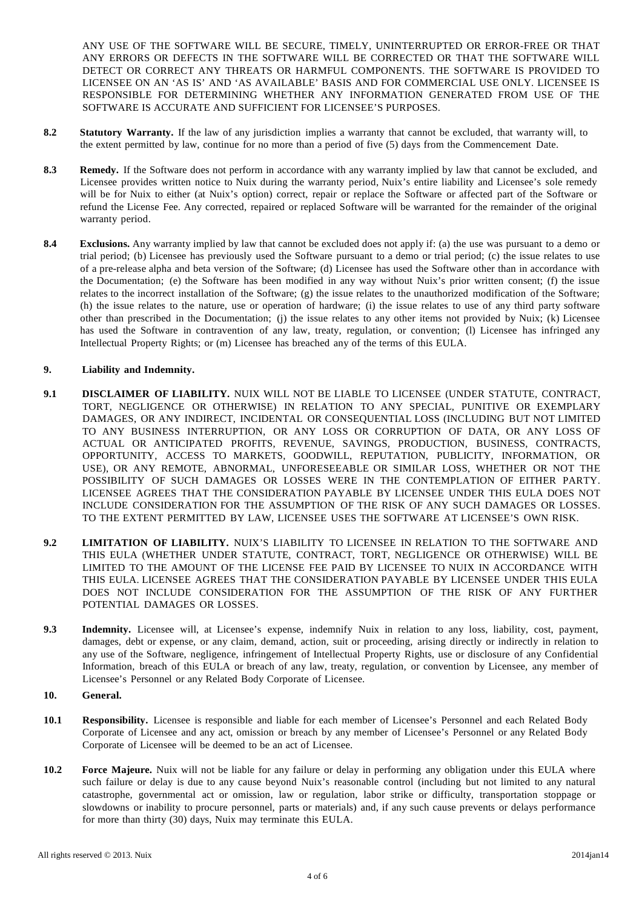ANY USE OF THE SOFTWARE WILL BE SECURE, TIMELY, UNINTERRUPTED OR ERROR-FREE OR THAT ANY ERRORS OR DEFECTS IN THE SOFTWARE WILL BE CORRECTED OR THAT THE SOFTWARE WILL DETECT OR CORRECT ANY THREATS OR HARMFUL COMPONENTS. THE SOFTWARE IS PROVIDED TO LICENSEE ON AN 'AS IS' AND 'AS AVAILABLE' BASIS AND FOR COMMERCIAL USE ONLY. LICENSEE IS RESPONSIBLE FOR DETERMINING WHETHER ANY INFORMATION GENERATED FROM USE OF THE SOFTWARE IS ACCURATE AND SUFFICIENT FOR LICENSEE'S PURPOSES.

- **8.2 Statutory Warranty.** If the law of any jurisdiction implies a warranty that cannot be excluded, that warranty will, to the extent permitted by law, continue for no more than a period of five (5) days from the Commencement Date.
- **8.3 Remedy.** If the Software does not perform in accordance with any warranty implied by law that cannot be excluded, and Licensee provides written notice to Nuix during the warranty period, Nuix's entire liability and Licensee's sole remedy will be for Nuix to either (at Nuix's option) correct, repair or replace the Software or affected part of the Software or refund the License Fee. Any corrected, repaired or replaced Software will be warranted for the remainder of the original warranty period.
- **8.4 Exclusions.** Any warranty implied by law that cannot be excluded does not apply if: (a) the use was pursuant to a demo or trial period; (b) Licensee has previously used the Software pursuant to a demo or trial period; (c) the issue relates to use of a pre-release alpha and beta version of the Software; (d) Licensee has used the Software other than in accordance with the Documentation; (e) the Software has been modified in any way without Nuix's prior written consent; (f) the issue relates to the incorrect installation of the Software; (g) the issue relates to the unauthorized modification of the Software; (h) the issue relates to the nature, use or operation of hardware; (i) the issue relates to use of any third party software other than prescribed in the Documentation; (j) the issue relates to any other items not provided by Nuix; (k) Licensee has used the Software in contravention of any law, treaty, regulation, or convention; (I) Licensee has infringed any Intellectual Property Rights; or (m) Licensee has breached any of the terms of this EULA.

# **9. Liability and Indemnity.**

- **9.1 DISCLAIMER OF LIABILITY.** NUIX WILL NOT BE LIABLE TO LICENSEE (UNDER STATUTE, CONTRACT, TORT, NEGLIGENCE OR OTHERWISE) IN RELATION TO ANY SPECIAL, PUNITIVE OR EXEMPLARY DAMAGES, OR ANY INDIRECT, INCIDENTAL OR CONSEQUENTIAL LOSS (INCLUDING BUT NOT LIMITED TO ANY BUSINESS INTERRUPTION, OR ANY LOSS OR CORRUPTION OF DATA, OR ANY LOSS OF ACTUAL OR ANTICIPATED PROFITS, REVENUE, SAVINGS, PRODUCTION, BUSINESS, CONTRACTS, OPPORTUNITY, ACCESS TO MARKETS, GOODWILL, REPUTATION, PUBLICITY, INFORMATION, OR USE), OR ANY REMOTE, ABNORMAL, UNFORESEEABLE OR SIMILAR LOSS, WHETHER OR NOT THE POSSIBILITY OF SUCH DAMAGES OR LOSSES WERE IN THE CONTEMPLATION OF EITHER PARTY. LICENSEE AGREES THAT THE CONSIDERATION PAYABLE BY LICENSEE UNDER THIS EULA DOES NOT INCLUDE CONSIDERATION FOR THE ASSUMPTION OF THE RISK OF ANY SUCH DAMAGES OR LOSSES. TO THE EXTENT PERMITTED BY LAW, LICENSEE USES THE SOFTWARE AT LICENSEE'S OWN RISK.
- **9.2 LIMITATION OF LIABILITY.** NUIX'S LIABILITY TO LICENSEE IN RELATION TO THE SOFTWARE AND THIS EULA (WHETHER UNDER STATUTE, CONTRACT, TORT, NEGLIGENCE OR OTHERWISE) WILL BE LIMITED TO THE AMOUNT OF THE LICENSE FEE PAID BY LICENSEE TO NUIX IN ACCORDANCE WITH THIS EULA. LICENSEE AGREES THAT THE CONSIDERATION PAYABLE BY LICENSEE UNDER THIS EULA DOES NOT INCLUDE CONSIDERATION FOR THE ASSUMPTION OF THE RISK OF ANY FURTHER POTENTIAL DAMAGES OR LOSSES.
- **9.3 Indemnity.** Licensee will, at Licensee's expense, indemnify Nuix in relation to any loss, liability, cost, payment, damages, debt or expense, or any claim, demand, action, suit or proceeding, arising directly or indirectly in relation to any use of the Software, negligence, infringement of Intellectual Property Rights, use or disclosure of any Confidential Information, breach of this EULA or breach of any law, treaty, regulation, or convention by Licensee, any member of Licensee's Personnel or any Related Body Corporate of Licensee.
- **10. General.**
- **10.1 Responsibility.** Licensee is responsible and liable for each member of Licensee's Personnel and each Related Body Corporate of Licensee and any act, omission or breach by any member of Licensee's Personnel or any Related Body Corporate of Licensee will be deemed to be an act of Licensee.
- **10.2 Force Majeure.** Nuix will not be liable for any failure or delay in performing any obligation under this EULA where such failure or delay is due to any cause beyond Nuix's reasonable control (including but not limited to any natural catastrophe, governmental act or omission, law or regulation, labor strike or difficulty, transportation stoppage or slowdowns or inability to procure personnel, parts or materials) and, if any such cause prevents or delays performance for more than thirty (30) days, Nuix may terminate this EULA.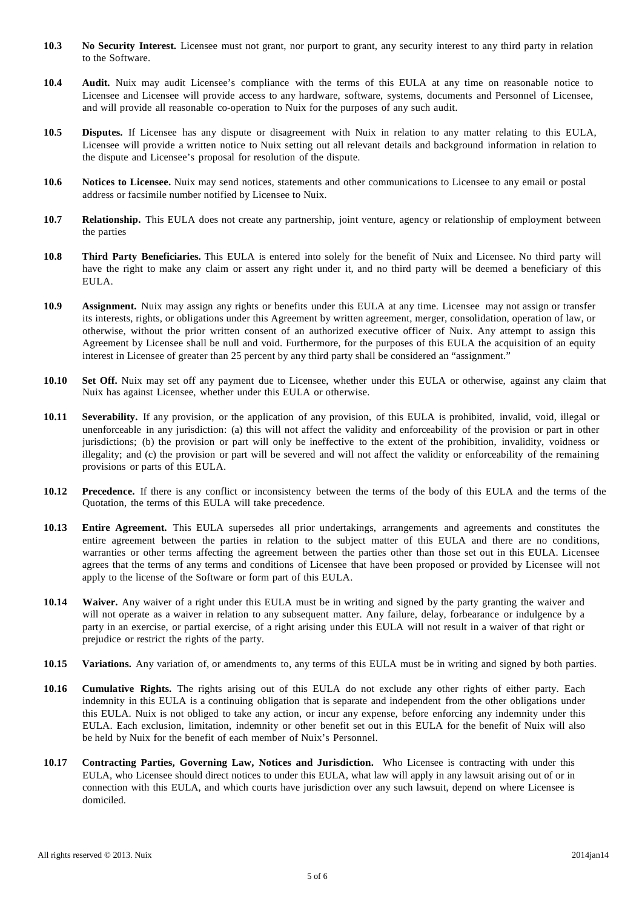- **10.3 No Security Interest.** Licensee must not grant, nor purport to grant, any security interest to any third party in relation to the Software.
- **10.4 Audit.** Nuix may audit Licensee's compliance with the terms of this EULA at any time on reasonable notice to Licensee and Licensee will provide access to any hardware, software, systems, documents and Personnel of Licensee, and will provide all reasonable co-operation to Nuix for the purposes of any such audit.
- **10.5 Disputes.** If Licensee has any dispute or disagreement with Nuix in relation to any matter relating to this EULA, Licensee will provide a written notice to Nuix setting out all relevant details and background information in relation to the dispute and Licensee's proposal for resolution of the dispute.
- **10.6 Notices to Licensee.** Nuix may send notices, statements and other communications to Licensee to any email or postal address or facsimile number notified by Licensee to Nuix.
- **10.7 Relationship.** This EULA does not create any partnership, joint venture, agency or relationship of employment between the parties
- **10.8 Third Party Beneficiaries.** This EULA is entered into solely for the benefit of Nuix and Licensee. No third party will have the right to make any claim or assert any right under it, and no third party will be deemed a beneficiary of this EULA.
- **10.9 Assignment.** Nuix may assign any rights or benefits under this EULA at any time. Licensee may not assign or transfer its interests, rights, or obligations under this Agreement by written agreement, merger, consolidation, operation of law, or otherwise, without the prior written consent of an authorized executive officer of Nuix. Any attempt to assign this Agreement by Licensee shall be null and void. Furthermore, for the purposes of this EULA the acquisition of an equity interest in Licensee of greater than 25 percent by any third party shall be considered an "assignment."
- **10.10 Set Off.** Nuix may set off any payment due to Licensee, whether under this EULA or otherwise, against any claim that Nuix has against Licensee, whether under this EULA or otherwise.
- **10.11 Severability.** If any provision, or the application of any provision, of this EULA is prohibited, invalid, void, illegal or unenforceable in any jurisdiction: (a) this will not affect the validity and enforceability of the provision or part in other jurisdictions; (b) the provision or part will only be ineffective to the extent of the prohibition, invalidity, voidness or illegality; and (c) the provision or part will be severed and will not affect the validity or enforceability of the remaining provisions or parts of this EULA.
- **10.12 Precedence.** If there is any conflict or inconsistency between the terms of the body of this EULA and the terms of the Quotation, the terms of this EULA will take precedence.
- **10.13 Entire Agreement.** This EULA supersedes all prior undertakings, arrangements and agreements and constitutes the entire agreement between the parties in relation to the subject matter of this EULA and there are no conditions, warranties or other terms affecting the agreement between the parties other than those set out in this EULA. Licensee agrees that the terms of any terms and conditions of Licensee that have been proposed or provided by Licensee will not apply to the license of the Software or form part of this EULA.
- **10.14 Waiver.** Any waiver of a right under this EULA must be in writing and signed by the party granting the waiver and will not operate as a waiver in relation to any subsequent matter. Any failure, delay, forbearance or indulgence by a party in an exercise, or partial exercise, of a right arising under this EULA will not result in a waiver of that right or prejudice or restrict the rights of the party.
- **10.15 Variations.** Any variation of, or amendments to, any terms of this EULA must be in writing and signed by both parties.
- **10.16 Cumulative Rights.** The rights arising out of this EULA do not exclude any other rights of either party. Each indemnity in this EULA is a continuing obligation that is separate and independent from the other obligations under this EULA. Nuix is not obliged to take any action, or incur any expense, before enforcing any indemnity under this EULA. Each exclusion, limitation, indemnity or other benefit set out in this EULA for the benefit of Nuix will also be held by Nuix for the benefit of each member of Nuix's Personnel.
- **10.17 Contracting Parties, Governing Law, Notices and Jurisdiction.** Who Licensee is contracting with under this EULA, who Licensee should direct notices to under this EULA, what law will apply in any lawsuit arising out of or in connection with this EULA, and which courts have jurisdiction over any such lawsuit, depend on where Licensee is domiciled.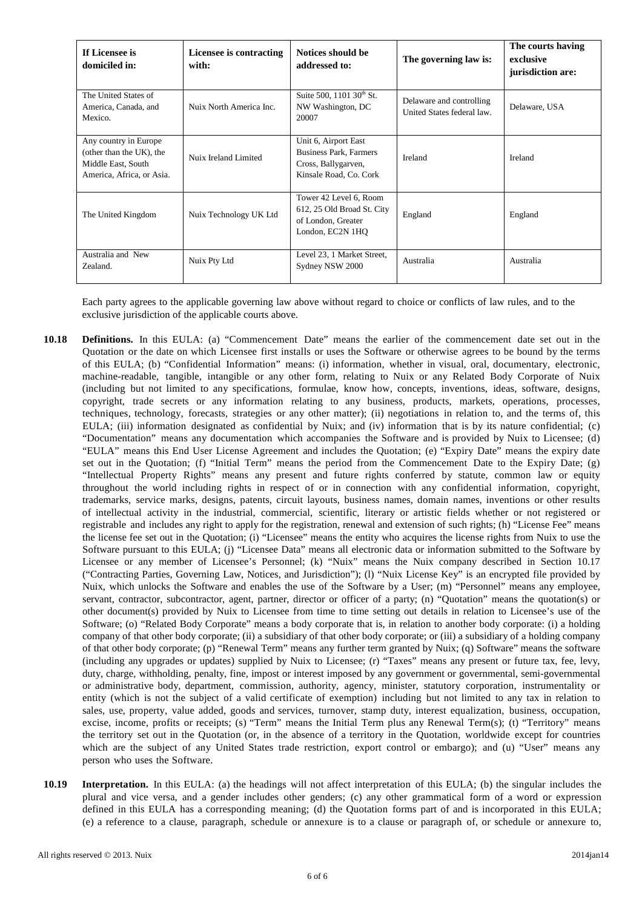| If Licensee is<br>domiciled in:                                                                      | Licensee is contracting<br>with: | Notices should be<br>addressed to:                                                                     | The governing law is:                                  | The courts having<br>exclusive<br>jurisdiction are: |
|------------------------------------------------------------------------------------------------------|----------------------------------|--------------------------------------------------------------------------------------------------------|--------------------------------------------------------|-----------------------------------------------------|
| The United States of<br>America, Canada, and<br>Mexico.                                              | Nuix North America Inc.          | Suite 500, 1101 30 <sup>th</sup> St.<br>NW Washington, DC<br>20007                                     | Delaware and controlling<br>United States federal law. | Delaware, USA                                       |
| Any country in Europe<br>(other than the UK), the<br>Middle East, South<br>America, Africa, or Asia. | Nuix Ireland Limited             | Unit 6, Airport East<br><b>Business Park, Farmers</b><br>Cross, Ballygarven,<br>Kinsale Road, Co. Cork | Ireland                                                | Ireland                                             |
| The United Kingdom                                                                                   | Nuix Technology UK Ltd           | Tower 42 Level 6, Room<br>612, 25 Old Broad St. City<br>of London, Greater<br>London, EC2N 1HQ         | England                                                | England                                             |
| Australia and New<br>Zealand.                                                                        | Nuix Pty Ltd                     | Level 23, 1 Market Street,<br>Sydney NSW 2000                                                          | Australia                                              | Australia                                           |

Each party agrees to the applicable governing law above without regard to choice or conflicts of law rules, and to the exclusive jurisdiction of the applicable courts above.

- **10.18 Definitions.** In this EULA: (a) "Commencement Date" means the earlier of the commencement date set out in the Quotation or the date on which Licensee first installs or uses the Software or otherwise agrees to be bound by the terms of this EULA; (b) "Confidential Information" means: (i) information, whether in visual, oral, documentary, electronic, machine-readable, tangible, intangible or any other form, relating to Nuix or any Related Body Corporate of Nuix (including but not limited to any specifications, formulae, know how, concepts, inventions, ideas, software, designs, copyright, trade secrets or any information relating to any business, products, markets, operations, processes, techniques, technology, forecasts, strategies or any other matter); (ii) negotiations in relation to, and the terms of, this EULA; (iii) information designated as confidential by Nuix; and (iv) information that is by its nature confidential; (c) "Documentation" means any documentation which accompanies the Software and is provided by Nuix to Licensee; (d) "EULA" means this End User License Agreement and includes the Quotation; (e) "Expiry Date" means the expiry date set out in the Quotation; (f) "Initial Term" means the period from the Commencement Date to the Expiry Date; (g) "Intellectual Property Rights" means any present and future rights conferred by statute, common law or equity throughout the world including rights in respect of or in connection with any confidential information, copyright, trademarks, service marks, designs, patents, circuit layouts, business names, domain names, inventions or other results of intellectual activity in the industrial, commercial, scientific, literary or artistic fields whether or not registered or registrable and includes any right to apply for the registration, renewal and extension of such rights; (h) "License Fee" means the license fee set out in the Quotation; (i) "Licensee" means the entity who acquires the license rights from Nuix to use the Software pursuant to this EULA; (j) "Licensee Data" means all electronic data or information submitted to the Software by Licensee or any member of Licensee's Personnel; (k) "Nuix" means the Nuix company described in Section 10.17 ("Contracting Parties, Governing Law, Notices, and Jurisdiction"); (l) "Nuix License Key" is an encrypted file provided by Nuix, which unlocks the Software and enables the use of the Software by a User; (m) "Personnel" means any employee, servant, contractor, subcontractor, agent, partner, director or officer of a party; (n) "Quotation" means the quotation(s) or other document(s) provided by Nuix to Licensee from time to time setting out details in relation to Licensee's use of the Software; (o) "Related Body Corporate" means a body corporate that is, in relation to another body corporate: (i) a holding company of that other body corporate; (ii) a subsidiary of that other body corporate; or (iii) a subsidiary of a holding company of that other body corporate; (p) "Renewal Term" means any further term granted by Nuix; (q) Software" means the software (including any upgrades or updates) supplied by Nuix to Licensee; (r) "Taxes" means any present or future tax, fee, levy, duty, charge, withholding, penalty, fine, impost or interest imposed by any government or governmental, semi-governmental or administrative body, department, commission, authority, agency, minister, statutory corporation, instrumentality or entity (which is not the subject of a valid certificate of exemption) including but not limited to any tax in relation to sales, use, property, value added, goods and services, turnover, stamp duty, interest equalization, business, occupation, excise, income, profits or receipts; (s) "Term" means the Initial Term plus any Renewal Term(s); (t) "Territory" means the territory set out in the Quotation (or, in the absence of a territory in the Quotation, worldwide except for countries which are the subject of any United States trade restriction, export control or embargo); and (u) "User" means any person who uses the Software.
- **10.19 Interpretation.** In this EULA: (a) the headings will not affect interpretation of this EULA; (b) the singular includes the plural and vice versa, and a gender includes other genders; (c) any other grammatical form of a word or expression defined in this EULA has a corresponding meaning; (d) the Quotation forms part of and is incorporated in this EULA; (e) a reference to a clause, paragraph, schedule or annexure is to a clause or paragraph of, or schedule or annexure to,